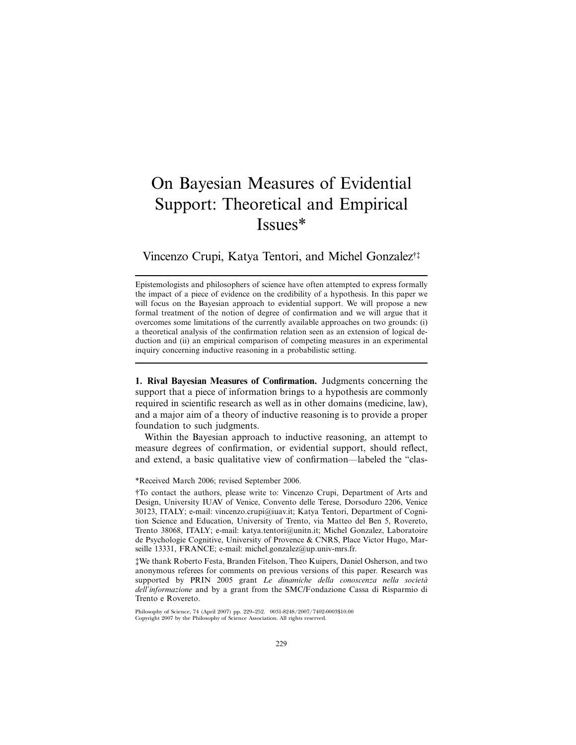# On Bayesian Measures of Evidential Support: Theoretical and Empirical Issues\*

Vincenzo Crupi, Katya Tentori, and Michel Gonzalez†‡

Epistemologists and philosophers of science have often attempted to express formally the impact of a piece of evidence on the credibility of a hypothesis. In this paper we will focus on the Bayesian approach to evidential support. We will propose a new formal treatment of the notion of degree of confirmation and we will argue that it overcomes some limitations of the currently available approaches on two grounds: (i) a theoretical analysis of the confirmation relation seen as an extension of logical deduction and (ii) an empirical comparison of competing measures in an experimental inquiry concerning inductive reasoning in a probabilistic setting.

**1. Rival Bayesian Measures of Confirmation.** Judgments concerning the support that a piece of information brings to a hypothesis are commonly required in scientific research as well as in other domains (medicine, law), and a major aim of a theory of inductive reasoning is to provide a proper foundation to such judgments.

Within the Bayesian approach to inductive reasoning, an attempt to measure degrees of confirmation, or evidential support, should reflect, and extend, a basic qualitative view of confirmation—labeled the "clas-

## \*Received March 2006; revised September 2006.

†To contact the authors, please write to: Vincenzo Crupi, Department of Arts and Design, University IUAV of Venice, Convento delle Terese, Dorsoduro 2206, Venice 30123, ITALY; e-mail: vincenzo.crupi@iuav.it; Katya Tentori, Department of Cognition Science and Education, University of Trento, via Matteo del Ben 5, Rovereto, Trento 38068, ITALY; e-mail: katya.tentori@unitn.it; Michel Gonzalez, Laboratoire de Psychologie Cognitive, University of Provence & CNRS, Place Victor Hugo, Marseille 13331, FRANCE; e-mail: michel.gonzalez@up.univ-mrs.fr.

‡We thank Roberto Festa, Branden Fitelson, Theo Kuipers, Daniel Osherson, and two anonymous referees for comments on previous versions of this paper. Research was supported by PRIN 2005 grant *Le dinamiche della conoscenza nella societa` dell'informazione* and by a grant from the SMC/Fondazione Cassa di Risparmio di Trento e Rovereto.

Philosophy of Science, 74 (April 2007) pp. 229–252. 0031-8248/2007/7402-0003\$10.00 Copyright 2007 by the Philosophy of Science Association. All rights reserved.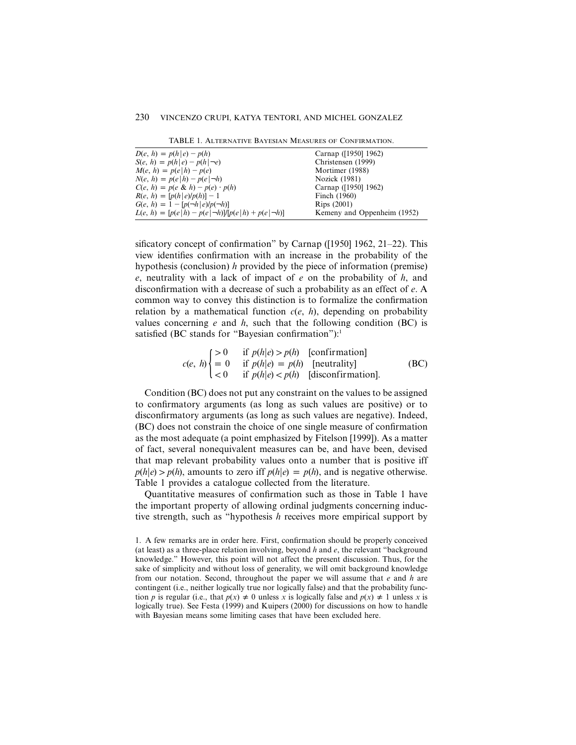| TABLE 1. ALTERNATIVE BAYESIAN MEASURES OF CONFIRMATION. |  |
|---------------------------------------------------------|--|
|---------------------------------------------------------|--|

| $D(e, h) = p(h e) - p(h)$                                 | Carnap ([1950] 1962)        |
|-----------------------------------------------------------|-----------------------------|
| $S(e, h) = p(h e) - p(h \neg e)$                          | Christensen (1999)          |
| $M(e, h) = p(e h) - p(e)$                                 | Mortimer (1988)             |
| $N(e, h) = p(e h) - p(e \neg h)$                          | Nozick (1981)               |
| $C(e, h) = p(e \& h) - p(e) \cdot p(h)$                   | Carnap ([1950] 1962)        |
| $R(e, h) = [p(h e)/p(h)] - 1$                             | Finch (1960)                |
| $G(e, h) = 1 - [p(\neg h \,   \, e)/p(\neg h)]$           | Rips (2001)                 |
| $L(e, h) = [p(e h) - p(e \neg h)]/[p(e h) + p(e \neg h)]$ | Kemeny and Oppenheim (1952) |

sificatory concept of confirmation" by Carnap ([1950] 1962, 21–22). This view identifies confirmation with an increase in the probability of the hypothesis (conclusion) *h* provided by the piece of information (premise) *e*, neutrality with a lack of impact of *e* on the probability of *h*, and disconfirmation with a decrease of such a probability as an effect of *e*. A common way to convey this distinction is to formalize the confirmation relation by a mathematical function  $c(e, h)$ , depending on probability values concerning  $e$  and  $h$ , such that the following condition (BC) is satisfied (BC stands for "Bayesian confirmation"): $<sup>1</sup>$ </sup>

*c*(*e*, *h*) 
$$
\begin{cases} > 0 & \text{if } p(h|e) > p(h) \quad \text{[conformation]}\\ = 0 & \text{if } p(h|e) = p(h) \quad \text{[neutrality]}\\ < 0 & \text{if } p(h|e) < p(h) \quad \text{[disconformation]}. \end{cases} \tag{BC}
$$

Condition (BC) does not put any constraint on the values to be assigned to confirmatory arguments (as long as such values are positive) or to disconfirmatory arguments (as long as such values are negative). Indeed, (BC) does not constrain the choice of one single measure of confirmation as the most adequate (a point emphasized by Fitelson [1999]). As a matter of fact, several nonequivalent measures can be, and have been, devised that map relevant probability values onto a number that is positive iff  $p(h|e) > p(h)$ , amounts to zero iff  $p(h|e) = p(h)$ , and is negative otherwise. Table 1 provides a catalogue collected from the literature.

Quantitative measures of confirmation such as those in Table 1 have the important property of allowing ordinal judgments concerning inductive strength, such as "hypothesis *h* receives more empirical support by

<sup>1.</sup> A few remarks are in order here. First, confirmation should be properly conceived (at least) as a three-place relation involving, beyond *h* and *e*, the relevant "background knowledge." However, this point will not affect the present discussion. Thus, for the sake of simplicity and without loss of generality, we will omit background knowledge from our notation. Second, throughout the paper we will assume that *e* and *h* are contingent (i.e., neither logically true nor logically false) and that the probability function *p* is regular (i.e., that  $p(x) \neq 0$  unless *x* is logically false and  $p(x) \neq 1$  unless *x* is logically true). See Festa (1999) and Kuipers (2000) for discussions on how to handle with Bayesian means some limiting cases that have been excluded here.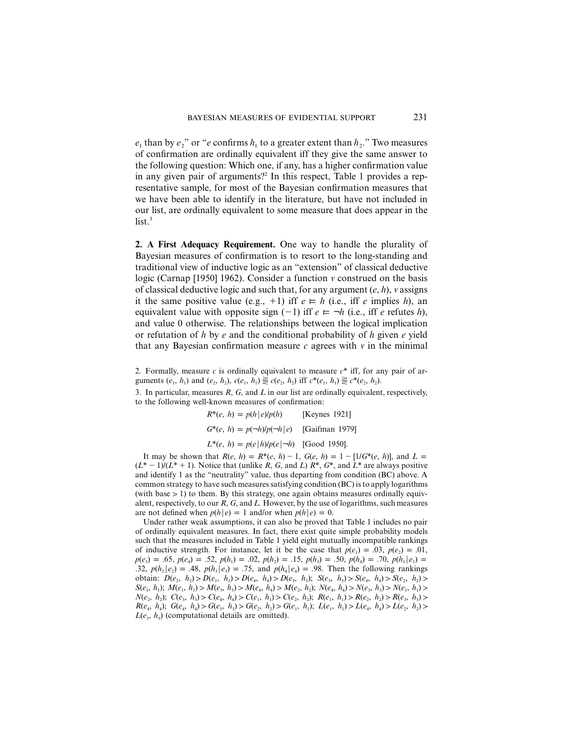$e_1$  than by  $e_2$ " or "*e* confirms  $h_1$  to a greater extent than  $h_2$ ." Two measures of confirmation are ordinally equivalent iff they give the same answer to the following question: Which one, if any, has a higher confirmation value in any given pair of arguments?<sup>2</sup> In this respect, Table 1 provides a representative sample, for most of the Bayesian confirmation measures that we have been able to identify in the literature, but have not included in our list, are ordinally equivalent to some measure that does appear in the  $list.<sup>3</sup>$ 

**2. A First Adequacy Requirement.** One way to handle the plurality of Bayesian measures of confirmation is to resort to the long-standing and traditional view of inductive logic as an "extension" of classical deductive logic (Carnap [1950] 1962). Consider a function *v* construed on the basis of classical deductive logic and such that, for any argument (*e*, *h*), *v* assigns it the same positive value (e.g.,  $+1$ ) iff  $e \models h$  (i.e., iff *e* implies *h*), an equivalent value with opposite sign  $(-1)$  iff  $e \models \neg h$  (i.e., iff *e* refutes *h*), and value 0 otherwise. The relationships between the logical implication or refutation of *h* by *e* and the conditional probability of *h* given *e* yield that any Bayesian confirmation measure  $c$  agrees with  $v$  in the minimal

2. Formally, measure *c* is ordinally equivalent to measure *c*\* iff, for any pair of arguments  $(e_1, h_1)$  and  $(e_2, h_2)$ ,  $c(e_1, h_1) \equiv c(e_2, h_2)$  iff  $c^*(e_1, h_1) \equiv c^*(e_2, h_2)$ .

3. In particular, measures *R*, *G*, and *L* in our list are ordinally equivalent, respectively, to the following well-known measures of confirmation:

> $R^*(e, h) = p(h|e)/p(h)$  [Keynes 1921]  $G^*(e, h) = p(\neg h)/p(\neg h \mid e)$  [Gaifman 1979]  $L^*(e, h) = p(e|h)/p(e|\neg h)$  [Good 1950].

It may be shown that  $R(e, h) = R^*(e, h) - 1$ ,  $G(e, h) = 1 - [1/G^*(e, h)]$ , and  $L =$  $(L^* - 1)/(L^* + 1)$ . Notice that (unlike *R*, *G*, and *L*)  $R^*$ ,  $G^*$ , and  $L^*$  are always positive and identify 1 as the "neutrality" value, thus departing from condition (BC) above. A common strategy to have such measures satisfying condition (BC) is to apply logarithms (with base  $> 1$ ) to them. By this strategy, one again obtains measures ordinally equivalent, respectively, to our *R*, *G*, and *L.* However, by the use of logarithms, such measures are not defined when  $p(h|e) = 1$  and/or when  $p(h|e) = 0$ .

Under rather weak assumptions, it can also be proved that Table 1 includes no pair of ordinally equivalent measures. In fact, there exist quite simple probability models such that the measures included in Table 1 yield eight mutually incompatible rankings of inductive strength. For instance, let it be the case that  $p(e_1) = .03$ ,  $p(e_2) = .01$ ,  $p(e_3) = .65, p(e_4) = .52, p(h_1) = .02, p(h_2) = .15, p(h_3) = .50, p(h_4) = .70, p(h_1|e_1) = .70$ .32,  $p(h_2|e_2) = .48$ ,  $p(h_3|e_3) = .75$ , and  $p(h_4|e_4) = .98$ . Then the following rankings obtain:  $D(e_2, h_1) > D(e_1, h_1) > D(e_4, h_4) > D(e_3, h_1)$ ;  $S(e_3, h_1) > S(e_4, h_4) > S(e_2, h_1) >$  $S(e_1, h_1); M(e_1, h_1) > M(e_3, h_3) > M(e_4, h_4) > M(e_2, h_2); N(e_4, h_4) > N(e_3, h_3) > N(e_1, h_1) >$  $N(e_2, h_2); C(e_3, h_3) > C(e_4, h_4) > C(e_1, h_1) > C(e_2, h_2); R(e_1, h_1) > R(e_2, h_2) > R(e_3, h_3) >$  $R(e_4, h_4)$ ;  $G(e_4, h_4) > G(e_3, h_3) > G(e_2, h_2) > G(e_1, h_1)$ ;  $L(e_1, h_1) > L(e_4, h_4) > L(e_2, h_2) >$  $L(e_3, h_3)$  (computational details are omitted).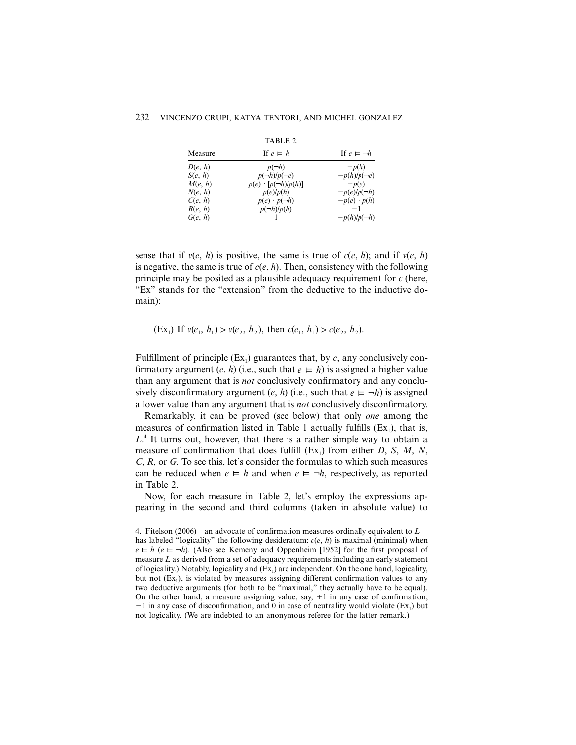|         | . <i>. .</i> . <i>.</i> .     |                       |
|---------|-------------------------------|-----------------------|
| Measure | If $e \models h$              | If $e \models \neg h$ |
| D(e, h) | $p(\neg h)$                   | $-p(h)$               |
| S(e, h) | $p(\neg h)/p(\neg e)$         | $-p(h)/p(-e)$         |
| M(e, h) | $p(e) \cdot [p(\neg h)/p(h)]$ | $-p(e)$               |
| N(e, h) | p(e)/p(h)                     | $-p(e)/p(-h)$         |
| C(e, h) | $p(e) \cdot p(\neg h)$        | $-p(e) \cdot p(h)$    |
| R(e, h) | $p(\neg h)/p(h)$              | $-1$                  |
| G(e, h) |                               | $-p(h)/p(-h)$         |

TABLE 2.

sense that if  $v(e, h)$  is positive, the same is true of  $c(e, h)$ ; and if  $v(e, h)$ is negative, the same is true of  $c(e, h)$ . Then, consistency with the following principle may be posited as a plausible adequacy requirement for *c* (here, "Ex" stands for the "extension" from the deductive to the inductive domain):

 $(EX_1)$  If  $v(e_1, h_1) > v(e_2, h_2)$ , then  $c(e_1, h_1) > c(e_2, h_2)$ .

Fulfillment of principle  $(Ex_1)$  guarantees that, by *c*, any conclusively confirmatory argument (*e*, *h*) (i.e., such that  $e \models h$ ) is assigned a higher value than any argument that is *not* conclusively confirmatory and any conclusively disconfirmatory argument (*e*, *h*) (i.e., such that  $e \models \neg h$ ) is assigned a lower value than any argument that is *not* conclusively disconfirmatory.

Remarkably, it can be proved (see below) that only *one* among the measures of confirmation listed in Table 1 actually fulfills  $(Ex<sub>1</sub>)$ , that is, *L*. <sup>4</sup> It turns out, however, that there is a rather simple way to obtain a measure of confirmation that does fulfill  $(Ex_1)$  from either *D*, *S*, *M*, *N*, *C*, *R*, or *G*. To see this, let's consider the formulas to which such measures can be reduced when  $e \models h$  and when  $e \models \neg h$ , respectively, as reported in Table 2.

Now, for each measure in Table 2, let's employ the expressions appearing in the second and third columns (taken in absolute value) to

<sup>4.</sup> Fitelson (2006)—an advocate of confirmation measures ordinally equivalent to *L* has labeled "logicality" the following desideratum:  $c(e, h)$  is maximal (minimal) when  $e \models h$  ( $e \models \neg h$ ). (Also see Kemeny and Oppenheim [1952] for the first proposal of measure *L* as derived from a set of adequacy requirements including an early statement of logicality.) Notably, logicality and  $(Ex<sub>1</sub>)$  are independent. On the one hand, logicality, but not  $(Ex_1)$ , is violated by measures assigning different confirmation values to any two deductive arguments (for both to be "maximal," they actually have to be equal). On the other hand, a measure assigning value, say,  $+1$  in any case of confirmation,  $-1$  in any case of disconfirmation, and 0 in case of neutrality would violate (Ex<sub>1</sub>) but not logicality. (We are indebted to an anonymous referee for the latter remark.)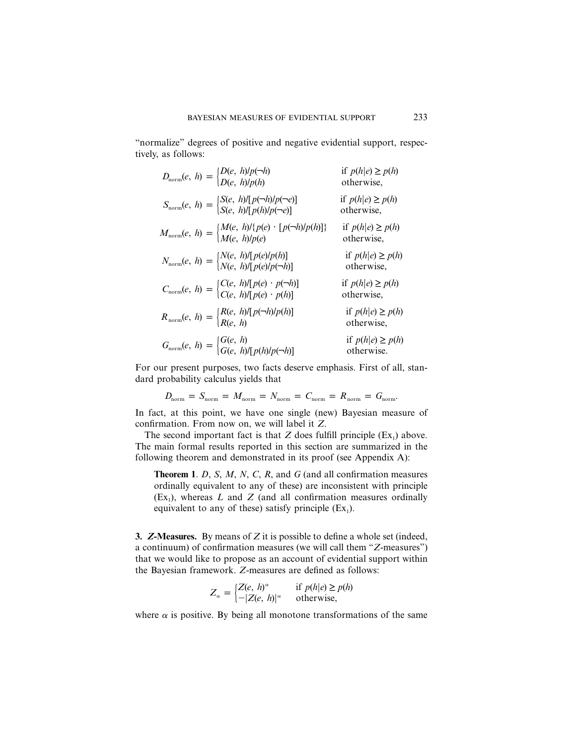"normalize" degrees of positive and negative evidential support, respectively, as follows:

| $D_{\text{norm}}(e, h) = \begin{cases} D(e, h)/p(\neg h) \\ D(e, h)/p(h) \end{cases}$                                                       | if $p(h e) \geq p(h)$<br>otherwise, |
|---------------------------------------------------------------------------------------------------------------------------------------------|-------------------------------------|
| $S_{\text{norm}}(e, h) = \begin{cases} S(e, h) \left[ p(\neg h) / p(\neg e) \right] \\ S(e, h) \left[ p(h) / p(\neg e) \right] \end{cases}$ | if $p(h e) \geq p(h)$<br>otherwise, |
| $M_{\text{norm}}(e, h) = \begin{cases} M(e, h)/\{p(e) \cdot [p(\neg h)/p(h)]\} \\ M(e, h)/p(e) \end{cases}$                                 | if $p(h e) \geq p(h)$<br>otherwise, |
| $N_{\text{norm}}(e, h) = \begin{cases} N(e, h) / [p(e)/p(h)] \\ N(e, h) / [p(e)/p(\neg h)] \end{cases}$                                     | if $p(h e) \geq p(h)$<br>otherwise, |
| $C_{\text{norm}}(e, h) = \begin{cases} C(e, h) / [p(e) \cdot p(\neg h)] \\ C(e, h) / [p(e) \cdot p(h)] \end{cases}$                         | if $p(h e) \geq p(h)$<br>otherwise, |
| $R_{\text{norm}}(e, h) = \begin{cases} R(e, h) / [p(\neg h) / p(h)] \\ R(e, h) \end{cases}$                                                 | if $p(h e) \geq p(h)$<br>otherwise, |
| $G_{\text{norm}}(e, h) = \begin{cases} G(e, h) \\ G(e, h) / [p(h)/p(-h)] \end{cases}$                                                       | if $p(h e) \geq p(h)$<br>otherwise. |

For our present purposes, two facts deserve emphasis. First of all, standard probability calculus yields that

$$
D_{\text{norm}} = S_{\text{norm}} = M_{\text{norm}} = N_{\text{norm}} = C_{\text{norm}} = R_{\text{norm}} = G_{\text{norm}}.
$$

In fact, at this point, we have one single (new) Bayesian measure of confirmation. From now on, we will label it *Z*.

The second important fact is that  $Z$  does fulfill principle  $(Ex_1)$  above. The main formal results reported in this section are summarized in the following theorem and demonstrated in its proof (see Appendix A):

**Theorem 1**. *D*, *S*, *M*, *N*, *C*, *R*, and *G* (and all confirmation measures ordinally equivalent to any of these) are inconsistent with principle  $(Ex<sub>1</sub>)$ , whereas *L* and *Z* (and all confirmation measures ordinally equivalent to any of these) satisfy principle  $(Ex_1)$ .

**3.** *Z***-Measures.** By means of *Z* it is possible to define a whole set (indeed, a continuum) of confirmation measures (we will call them "*Z*-measures") that we would like to propose as an account of evidential support within the Bayesian framework. *Z*-measures are defined as follows:

$$
Z_{\alpha} = \begin{cases} Z(e, h)^{\alpha} & \text{if } p(h|e) \ge p(h) \\ -|Z(e, h)|^{\alpha} & \text{otherwise,} \end{cases}
$$

where  $\alpha$  is positive. By being all monotone transformations of the same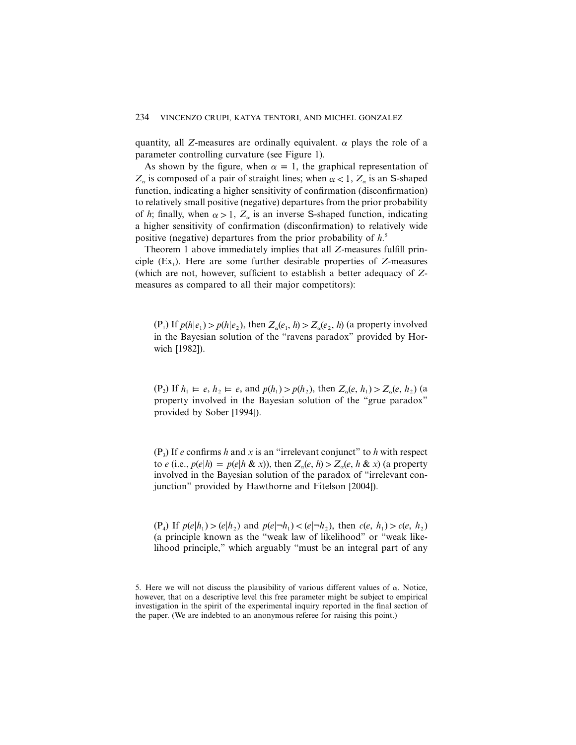quantity, all *Z*-measures are ordinally equivalent.  $\alpha$  plays the role of a parameter controlling curvature (see Figure 1).

As shown by the figure, when  $\alpha = 1$ , the graphical representation of  $Z_{\alpha}$  is composed of a pair of straight lines; when  $\alpha < 1$ ,  $Z_{\alpha}$  is an S-shaped function, indicating a higher sensitivity of confirmation (disconfirmation) to relatively small positive (negative) departures from the prior probability of *h*; finally, when  $\alpha > 1$ ,  $Z_{\alpha}$  is an inverse S-shaped function, indicating a higher sensitivity of confirmation (disconfirmation) to relatively wide positive (negative) departures from the prior probability of *h*. 5

Theorem 1 above immediately implies that all *Z*-measures fulfill principle  $(Ex_1)$ . Here are some further desirable properties of *Z*-measures (which are not, however, sufficient to establish a better adequacy of *Z*measures as compared to all their major competitors):

 $(P_1)$  If  $p(h|e_1) > p(h|e_2)$ , then  $Z_\alpha(e_1, h) > Z_\alpha(e_2, h)$  (a property involved in the Bayesian solution of the "ravens paradox" provided by Horwich [1982]).

 $(P_2)$  If  $h_1 \vDash e, h_2 \vDash e$ , and  $p(h_1) > p(h_2)$ , then  $Z_\alpha(e, h_1) > Z_\alpha(e, h_2)$  (a property involved in the Bayesian solution of the "grue paradox" provided by Sober [1994]).

 $(P_3)$  If *e* confirms *h* and *x* is an "irrelevant conjunct" to *h* with respect to *e* (i.e.,  $p(e|h) = p(e|h \& x)$ ), then  $Z_e(e, h) > Z_e(e, h \& x)$  (a property involved in the Bayesian solution of the paradox of "irrelevant conjunction" provided by Hawthorne and Fitelson [2004]).

 $p(e|h_1) > (e|h_2)$  and  $p(e|\neg h_1) < (e|\neg h_2)$ , then  $c(e, h_1) > c(e, h_2)$ (a principle known as the "weak law of likelihood" or "weak likelihood principle," which arguably "must be an integral part of any

<sup>5.</sup> Here we will not discuss the plausibility of various different values of  $\alpha$ . Notice, however, that on a descriptive level this free parameter might be subject to empirical investigation in the spirit of the experimental inquiry reported in the final section of the paper. (We are indebted to an anonymous referee for raising this point.)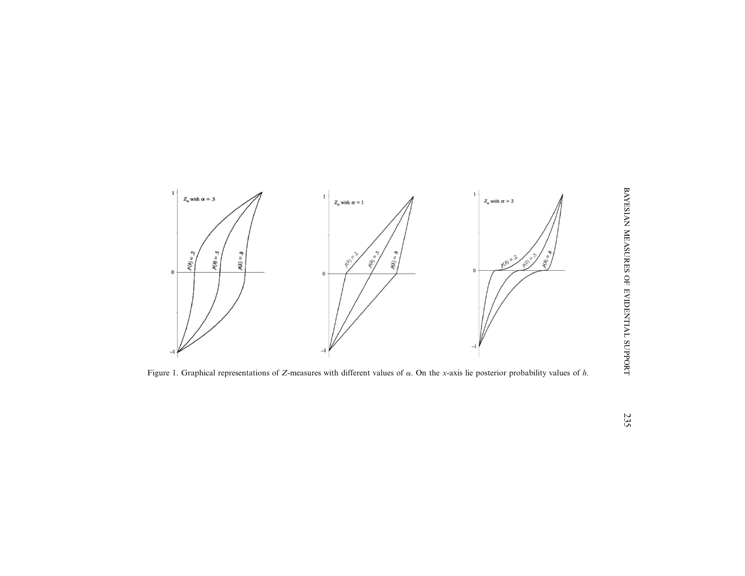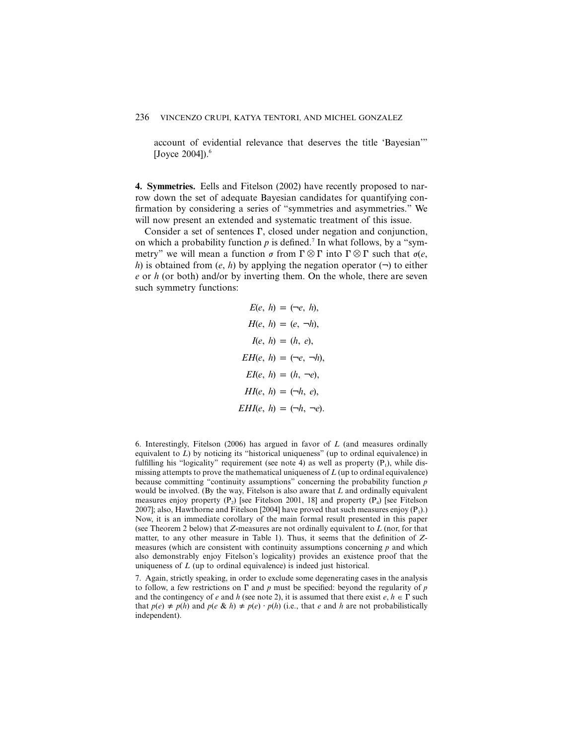account of evidential relevance that deserves the title 'Bayesian'" [Joyce  $2004$ ]).<sup>6</sup>

**4. Symmetries.** Eells and Fitelson (2002) have recently proposed to narrow down the set of adequate Bayesian candidates for quantifying confirmation by considering a series of "symmetries and asymmetries." We will now present an extended and systematic treatment of this issue.

Consider a set of sentences  $\Gamma$ , closed under negation and conjunction, on which a probability function  $p$  is defined.<sup>7</sup> In what follows, by a "symmetry" we will mean a function  $\sigma$  from  $\Gamma \otimes \Gamma$  into  $\Gamma \otimes \Gamma$  such that  $\sigma(e, \Gamma)$ *h*) is obtained from  $(e, h)$  by applying the negation operator  $(\neg)$  to either *e* or *h* (or both) and/or by inverting them. On the whole, there are seven such symmetry functions:

$$
E(e, h) = (\neg e, h),
$$
  
\n
$$
H(e, h) = (e, \neg h),
$$
  
\n
$$
I(e, h) = (h, e),
$$
  
\n
$$
EH(e, h) = (\neg e, \neg h),
$$
  
\n
$$
EI(e, h) = (h, \neg e),
$$
  
\n
$$
HI(e, h) = (\neg h, e),
$$
  
\n
$$
EHI(e, h) = (\neg h, \neg e).
$$

6. Interestingly, Fitelson (2006) has argued in favor of *L* (and measures ordinally equivalent to *L*) by noticing its "historical uniqueness" (up to ordinal equivalence) in fulfilling his "logicality" requirement (see note 4) as well as property  $(P_1)$ , while dismissing attempts to prove the mathematical uniqueness of *L* (up to ordinal equivalence) because committing "continuity assumptions" concerning the probability function *p* would be involved. (By the way, Fitelson is also aware that *L* and ordinally equivalent measures enjoy property  $(P_2)$  [see Fitelson 2001, 18] and property  $(P_4)$  [see Fitelson 2007]; also, Hawthorne and Fitelson [2004] have proved that such measures enjoy  $(P_3)$ . Now, it is an immediate corollary of the main formal result presented in this paper (see Theorem 2 below) that *Z*-measures are not ordinally equivalent to *L* (nor, for that matter, to any other measure in Table 1). Thus, it seems that the definition of *Z*measures (which are consistent with continuity assumptions concerning *p* and which also demonstrably enjoy Fitelson's logicality) provides an existence proof that the uniqueness of *L* (up to ordinal equivalence) is indeed just historical.

7. Again, strictly speaking, in order to exclude some degenerating cases in the analysis to follow, a few restrictions on  $\Gamma$  and  $p$  must be specified: beyond the regularity of  $p$ and the contingency of *e* and *h* (see note 2), it is assumed that there exist  $e, h \in \Gamma$  such that  $p(e) \neq p(h)$  and  $p(e \& h) \neq p(e) \cdot p(h)$  (i.e., that *e* and *h* are not probabilistically independent).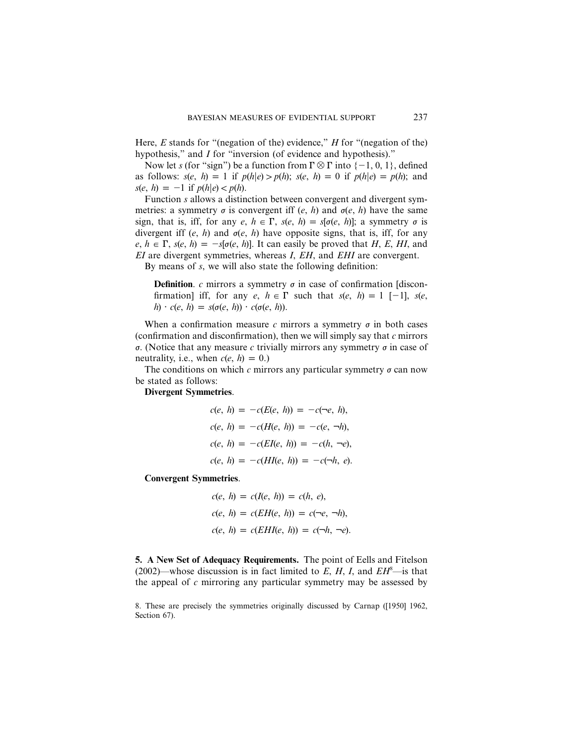Here, *E* stands for "(negation of the) evidence," *H* for "(negation of the) hypothesis," and *I* for "inversion (of evidence and hypothesis)."

Now let *s* (for "sign") be a function from  $\Gamma \otimes \Gamma$  into  $\{-1, 0, 1\}$ , defined as follows:  $s(e, h) = 1$  if  $p(h|e) > p(h)$ ;  $s(e, h) = 0$  if  $p(h|e) = p(h)$ ; and  $s(e, h) = -1$  if  $p(h|e) < p(h)$ .

Function *s* allows a distinction between convergent and divergent symmetries: a symmetry  $\sigma$  is convergent iff (*e*, *h*) and  $\sigma$ (*e*, *h*) have the same sign, that is, iff, for any  $e, h \in \Gamma$ ,  $s(e, h) = s[\sigma(e, h)];$  a symmetry  $\sigma$  is divergent iff  $(e, h)$  and  $\sigma(e, h)$  have opposite signs, that is, iff, for any  $e, h \in \Gamma$ ,  $s(e, h) = -s[\sigma(e, h)]$ . It can easily be proved that *H*, *E*, *HI*, and *EI* are divergent symmetries, whereas *I*, *EH*, and *EHI* are convergent.

By means of *s*, we will also state the following definition:

**Definition**. *c* mirrors a symmetry  $\sigma$  in case of confirmation [disconfirmation] iff, for any  $e, h \in \Gamma$  such that  $s(e, h) = 1 [-1]$ ,  $s(e, h) = 1 [-1]$  $h \cdot c(e, h) = s(\sigma(e, h)) \cdot c(\sigma(e, h)).$ 

When a confirmation measure  $c$  mirrors a symmetry  $\sigma$  in both cases (confirmation and disconfirmation), then we will simply say that *c* mirrors  $\sigma$ . (Notice that any measure *c* trivially mirrors any symmetry  $\sigma$  in case of neutrality, i.e., when  $c(e, h) = 0$ .)

The conditions on which  $c$  mirrors any particular symmetry  $\sigma$  can now be stated as follows:

**Divergent Symmetries**.

$$
c(e, h) = -c(E(e, h)) = -c(\neg e, h),
$$
  
\n
$$
c(e, h) = -c(H(e, h)) = -c(e, \neg h),
$$
  
\n
$$
c(e, h) = -c(EI(e, h)) = -c(h, \neg e),
$$
  
\n
$$
c(e, h) = -c(HI(e, h)) = -c(\neg h, e).
$$

**Convergent Symmetries**.

$$
c(e, h) = c(I(e, h)) = c(h, e),
$$
  
\n
$$
c(e, h) = c(EH(e, h)) = c(\neg e, \neg h),
$$
  
\n
$$
c(e, h) = c(EHI(e, h)) = c(\neg h, \neg e).
$$

**5. A New Set of Adequacy Requirements.** The point of Eells and Fitelson (2002)—whose discussion is in fact limited to *E*, *H*, *I*, and *EH*<sup>8</sup> —is that the appeal of *c* mirroring any particular symmetry may be assessed by

8. These are precisely the symmetries originally discussed by Carnap ([1950] 1962, Section 67).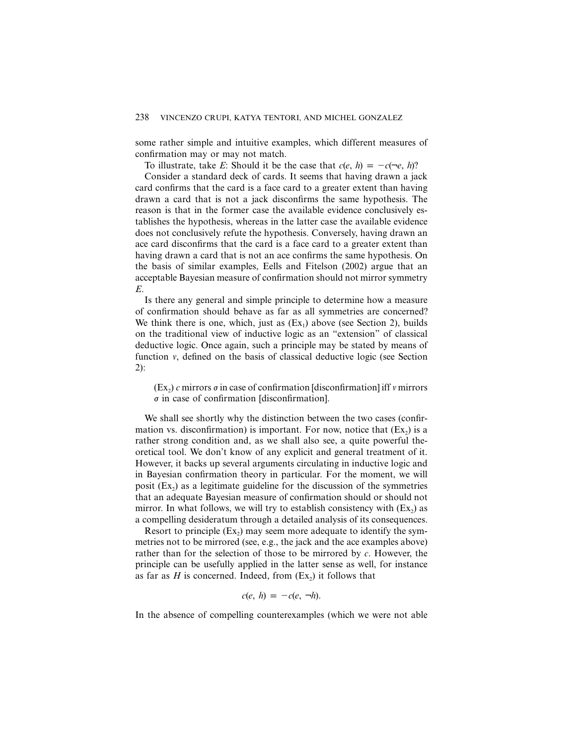some rather simple and intuitive examples, which different measures of confirmation may or may not match.

To illustrate, take *E*: Should it be the case that  $c(e, h) = -c(\neg e, h)$ ?

Consider a standard deck of cards. It seems that having drawn a jack card confirms that the card is a face card to a greater extent than having drawn a card that is not a jack disconfirms the same hypothesis. The reason is that in the former case the available evidence conclusively establishes the hypothesis, whereas in the latter case the available evidence does not conclusively refute the hypothesis. Conversely, having drawn an ace card disconfirms that the card is a face card to a greater extent than having drawn a card that is not an ace confirms the same hypothesis. On the basis of similar examples, Eells and Fitelson (2002) argue that an acceptable Bayesian measure of confirmation should not mirror symmetry *E*.

Is there any general and simple principle to determine how a measure of confirmation should behave as far as all symmetries are concerned? We think there is one, which, just as  $(Ex<sub>1</sub>)$  above (see Section 2), builds on the traditional view of inductive logic as an "extension" of classical deductive logic. Once again, such a principle may be stated by means of function *v*, defined on the basis of classical deductive logic (see Section 2):

 $(Ex_2)$  *c* mirrors  $\sigma$  in case of confirmation [disconfirmation] iff *v* mirrors  $\sigma$  in case of confirmation [disconfirmation].

We shall see shortly why the distinction between the two cases (confirmation vs. disconfirmation) is important. For now, notice that  $(Ex<sub>2</sub>)$  is a rather strong condition and, as we shall also see, a quite powerful theoretical tool. We don't know of any explicit and general treatment of it. However, it backs up several arguments circulating in inductive logic and in Bayesian confirmation theory in particular. For the moment, we will posit  $(Ex_2)$  as a legitimate guideline for the discussion of the symmetries that an adequate Bayesian measure of confirmation should or should not mirror. In what follows, we will try to establish consistency with  $(Ex<sub>2</sub>)$  as a compelling desideratum through a detailed analysis of its consequences.

Resort to principle  $(Ex_2)$  may seem more adequate to identify the symmetries not to be mirrored (see, e.g., the jack and the ace examples above) rather than for the selection of those to be mirrored by *c*. However, the principle can be usefully applied in the latter sense as well, for instance as far as  $H$  is concerned. Indeed, from  $(Ex<sub>2</sub>)$  it follows that

$$
c(e, h) = -c(e, \neg h).
$$

In the absence of compelling counterexamples (which we were not able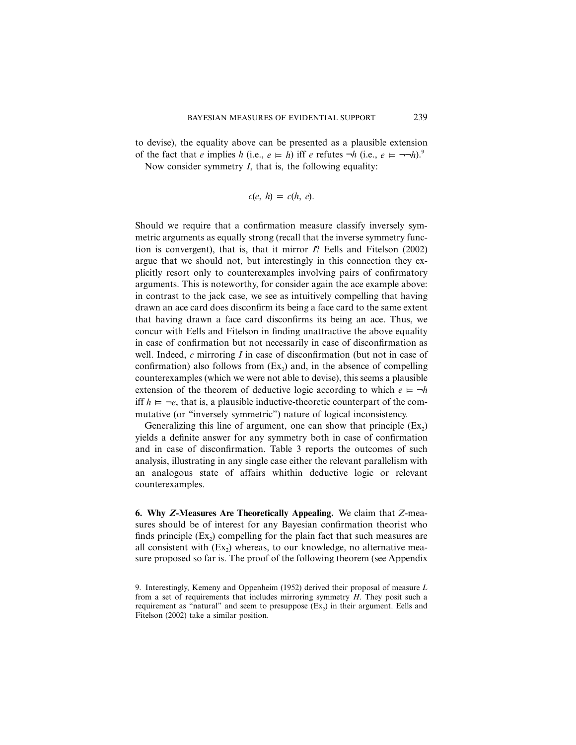to devise), the equality above can be presented as a plausible extension of the fact that *e* implies *h* (i.e.,  $e \models h$ ) iff *e* refutes  $\neg h$  (i.e.,  $e \models \neg \neg h$ ).<sup>9</sup>

Now consider symmetry *I*, that is, the following equality:

$$
c(e, h) = c(h, e).
$$

Should we require that a confirmation measure classify inversely symmetric arguments as equally strong (recall that the inverse symmetry function is convergent), that is, that it mirror *I*? Eells and Fitelson (2002) argue that we should not, but interestingly in this connection they explicitly resort only to counterexamples involving pairs of confirmatory arguments. This is noteworthy, for consider again the ace example above: in contrast to the jack case, we see as intuitively compelling that having drawn an ace card does disconfirm its being a face card to the same extent that having drawn a face card disconfirms its being an ace. Thus, we concur with Eells and Fitelson in finding unattractive the above equality in case of confirmation but not necessarily in case of disconfirmation as well. Indeed, *c* mirroring *I* in case of disconfirmation (but not in case of confirmation) also follows from  $(Ex_2)$  and, in the absence of compelling counterexamples (which we were not able to devise), this seems a plausible extension of the theorem of deductive logic according to which  $e \models \neg h$ iff  $h \models \neg e$ , that is, a plausible inductive-theoretic counterpart of the commutative (or "inversely symmetric") nature of logical inconsistency.

Generalizing this line of argument, one can show that principle  $(Ex_2)$ yields a definite answer for any symmetry both in case of confirmation and in case of disconfirmation. Table 3 reports the outcomes of such analysis, illustrating in any single case either the relevant parallelism with an analogous state of affairs whithin deductive logic or relevant counterexamples.

**6. Why** *Z***-Measures Are Theoretically Appealing.** We claim that *Z-*measures should be of interest for any Bayesian confirmation theorist who finds principle  $(Ex_2)$  compelling for the plain fact that such measures are all consistent with  $(Ex_2)$  whereas, to our knowledge, no alternative measure proposed so far is. The proof of the following theorem (see Appendix

<sup>9.</sup> Interestingly, Kemeny and Oppenheim (1952) derived their proposal of measure *L* from a set of requirements that includes mirroring symmetry *H*. They posit such a requirement as "natural" and seem to presuppose  $(Ex<sub>2</sub>)$  in their argument. Eells and Fitelson (2002) take a similar position.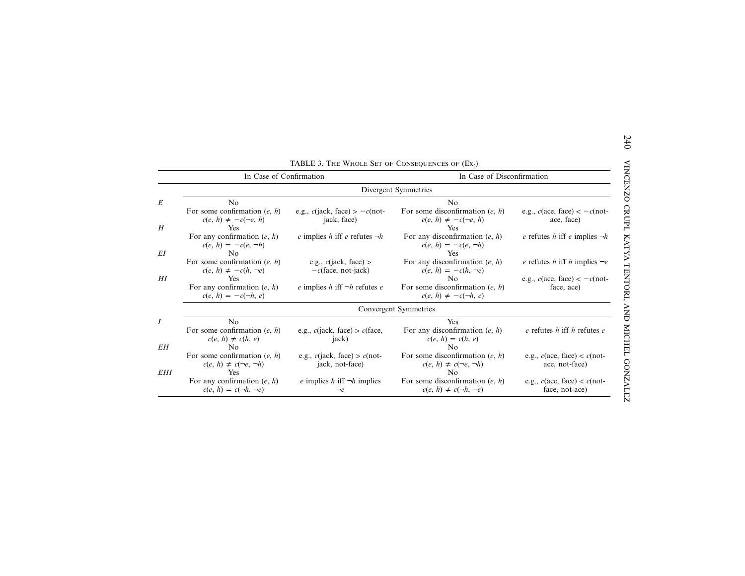|            | In Case of Confirmation                                            |                                                    | In Case of Disconfirmation                                                        |                                                            |  |
|------------|--------------------------------------------------------------------|----------------------------------------------------|-----------------------------------------------------------------------------------|------------------------------------------------------------|--|
|            | Divergent Symmetries                                               |                                                    |                                                                                   |                                                            |  |
|            | No                                                                 |                                                    | N <sub>0</sub>                                                                    |                                                            |  |
|            | For some confirmation $(e, h)$<br>$c(e, h) \neq -c(\neg e, h)$     | e.g., $c$ (jack, face) > $-c$ (not-<br>jack, face) | For some disconfirmation $(e, h)$<br>$c(e, h) \neq -c(\neg e, h)$                 | e.g., $c(\text{ace, face}) < -c(\text{not-}$<br>ace, face) |  |
|            | Yes                                                                |                                                    | Yes                                                                               |                                                            |  |
| EI         | For any confirmation $(e, h)$<br>$c(e, h) = -c(e, \neg h)$<br>No.  | e implies h iff e refutes $\neg h$                 | For any disconfirmation $(e, h)$<br>$c(e, h) = -c(e, \neg h)$<br><b>Yes</b>       | e refutes h iff e implies $\neg h$                         |  |
|            | For some confirmation $(e, h)$<br>$c(e, h) \neq -c(h, \neg e)$     | e.g., $c$ (jack, face) ><br>$-c$ (face, not-jack)  | For any disconfirmation $(e, h)$<br>$c(e, h) = -c(h, \neg e)$                     | e refutes h iff h implies $\neg e$                         |  |
| $H$ I      | Yes                                                                |                                                    | N <sub>0</sub>                                                                    | e.g., $c$ (ace, face) $<-c$ (not-                          |  |
|            | For any confirmation $(e, h)$<br>$c(e, h) = -c(\neg h, e)$         | e implies h iff $\neg h$ refutes e                 | For some disconfirmation $(e, h)$<br>$c(e, h) \neq -c(\neg h, e)$                 | face, ace)                                                 |  |
|            |                                                                    |                                                    | Convergent Symmetries                                                             |                                                            |  |
|            | N <sub>0</sub>                                                     |                                                    | Yes                                                                               |                                                            |  |
| EΗ         | For some confirmation $(e, h)$<br>$c(e, h) \neq c(h, e)$<br>No.    | e.g., $c$ (jack, face) > $c$ (face,<br>jack)       | For any disconfirmation $(e, h)$<br>$c(e, h) = c(h, e)$<br>$\mathbf{N}\mathbf{O}$ | $e$ refutes $h$ iff $h$ refutes $e$                        |  |
|            | For some confirmation $(e, h)$<br>$c(e, h) \neq c(\neg e, \neg h)$ | e.g., $c(iack, face) > c(not-$<br>jack, not-face)  | For some disconfirmation $(e, h)$<br>$c(e, h) \neq c(\neg e, \neg h)$             | e.g., $c$ (ace, face) < $c$ (not-<br>ace, not-face)        |  |
| <b>EHI</b> | Yes                                                                |                                                    | No                                                                                |                                                            |  |
|            | For any confirmation $(e, h)$<br>$c(e, h) = c(\neg h, \neg e)$     | e implies h iff $\neg h$ implies<br>$\neg e$       | For some disconfirmation $(e, h)$<br>$c(e, h) \neq c(\neg h, \neg e)$             | e.g., $c$ (ace, face) < $c$ (not-<br>face, not-ace)        |  |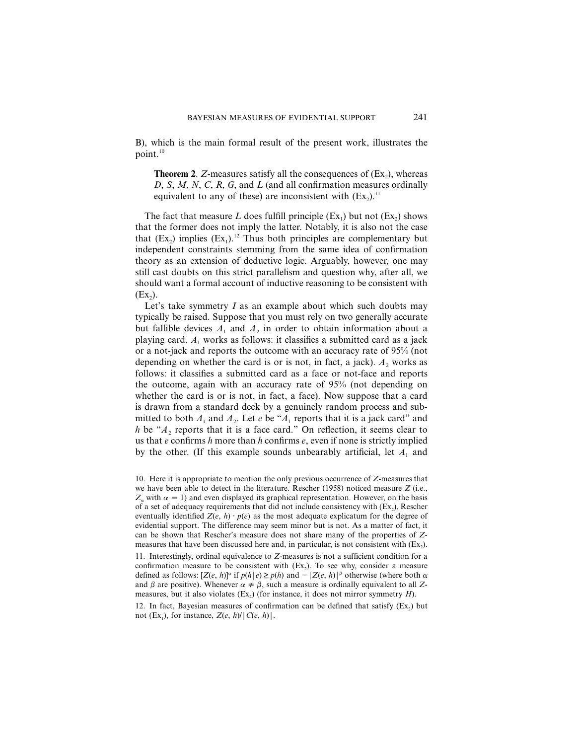B), which is the main formal result of the present work, illustrates the point.10

**Theorem 2.** *Z*-measures satisfy all the consequences of  $(Ex_2)$ , whereas *D*, *S*, *M*, *N*, *C*, *R*, *G*, and *L* (and all confirmation measures ordinally equivalent to any of these) are inconsistent with  $(Ex_2)$ .<sup>11</sup>

The fact that measure *L* does fulfill principle  $(Ex_1)$  but not  $(Ex_2)$  shows that the former does not imply the latter. Notably, it is also not the case that  $(Ex_2)$  implies  $(Ex_1)$ .<sup>12</sup> Thus both principles are complementary but independent constraints stemming from the same idea of confirmation theory as an extension of deductive logic. Arguably, however, one may still cast doubts on this strict parallelism and question why, after all, we should want a formal account of inductive reasoning to be consistent with  $(EX<sub>2</sub>)$ .

Let's take symmetry *I* as an example about which such doubts may typically be raised. Suppose that you must rely on two generally accurate but fallible devices  $A_1$  and  $A_2$  in order to obtain information about a playing card.  $A_1$  works as follows: it classifies a submitted card as a jack or a not-jack and reports the outcome with an accuracy rate of 95% (not depending on whether the card is or is not, in fact, a jack).  $A_2$  works as follows: it classifies a submitted card as a face or not-face and reports the outcome, again with an accuracy rate of 95% (not depending on whether the card is or is not, in fact, a face). Now suppose that a card is drawn from a standard deck by a genuinely random process and submitted to both  $A_1$  and  $A_2$ . Let *e* be " $A_1$  reports that it is a jack card" and *h* be " $A_2$  reports that it is a face card." On reflection, it seems clear to us that *e* confirms *h* more than *h* confirms *e*, even if none is strictly implied by the other. (If this example sounds unbearably artificial, let  $A_1$  and

<sup>10.</sup> Here it is appropriate to mention the only previous occurrence of *Z*-measures that we have been able to detect in the literature. Rescher (1958) noticed measure *Z* (i.e.,  $Z_{\alpha}$  with  $\alpha = 1$ ) and even displayed its graphical representation. However, on the basis of a set of adequacy requirements that did not include consistency with  $(Ex<sub>2</sub>)$ , Rescher eventually identified  $Z(e, h) \cdot p(e)$  as the most adequate explicatum for the degree of evidential support. The difference may seem minor but is not. As a matter of fact, it can be shown that Rescher's measure does not share many of the properties of *Z*measures that have been discussed here and, in particular, is not consistent with  $(Ex_2)$ .

<sup>11.</sup> Interestingly, ordinal equivalence to *Z*-measures is not a sufficient condition for a confirmation measure to be consistent with  $(Ex_2)$ . To see why, consider a measure defined as follows:  $[Z(e, h)]^{\alpha}$  if  $p(h | e) \geq p(h)$  and  $- |Z(e, h)|^{\beta}$  otherwise (where both  $\alpha$ and  $\beta$  are positive). Whenever  $\alpha \neq \beta$ , such a measure is ordinally equivalent to all Zmeasures, but it also violates  $(Ex_2)$  (for instance, it does not mirror symmetry *H*).

<sup>12.</sup> In fact, Bayesian measures of confirmation can be defined that satisfy  $(Ex<sub>2</sub>)$  but not (Ex<sub>1</sub>), for instance,  $Z(e, h)/|C(e, h)|$ .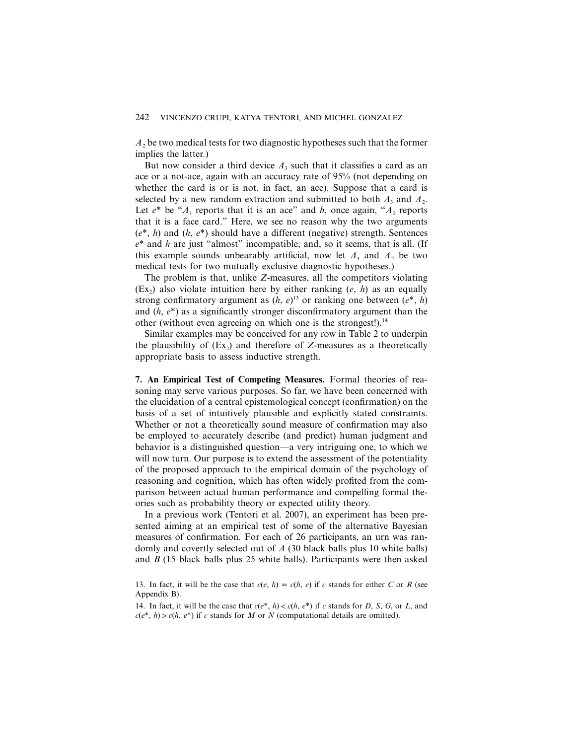$A_2$  be two medical tests for two diagnostic hypotheses such that the former implies the latter.)

But now consider a third device  $A_3$  such that it classifies a card as an ace or a not-ace, again with an accuracy rate of 95% (not depending on whether the card is or is not, in fact, an ace). Suppose that a card is selected by a new random extraction and submitted to both  $A_3$  and  $A_2$ . Let  $e^*$  be " $A_3$  reports that it is an ace" and  $h$ , once again, " $A_2$  reports that it is a face card." Here, we see no reason why the two arguments (*e*\*, *h*) and (*h*, *e*\*) should have a different (negative) strength. Sentences *e*\* and *h* are just "almost" incompatible; and, so it seems, that is all. (If this example sounds unbearably artificial, now let  $A_3$  and  $A_2$  be two medical tests for two mutually exclusive diagnostic hypotheses.)

The problem is that, unlike *Z*-measures, all the competitors violating (Ex<sub>2</sub>) also violate intuition here by either ranking  $(e, h)$  as an equally strong confirmatory argument as  $(h, e)^{13}$  or ranking one between  $(e^*, h)$ and (*h*, *e*\*) as a significantly stronger disconfirmatory argument than the other (without even agreeing on which one is the strongest!).<sup>14</sup>

Similar examples may be conceived for any row in Table 2 to underpin the plausibility of  $(Ex_2)$  and therefore of *Z*-measures as a theoretically appropriate basis to assess inductive strength.

**7. An Empirical Test of Competing Measures.** Formal theories of reasoning may serve various purposes. So far, we have been concerned with the elucidation of a central epistemological concept (confirmation) on the basis of a set of intuitively plausible and explicitly stated constraints. Whether or not a theoretically sound measure of confirmation may also be employed to accurately describe (and predict) human judgment and behavior is a distinguished question—a very intriguing one, to which we will now turn. Our purpose is to extend the assessment of the potentiality of the proposed approach to the empirical domain of the psychology of reasoning and cognition, which has often widely profited from the comparison between actual human performance and compelling formal theories such as probability theory or expected utility theory.

In a previous work (Tentori et al. 2007), an experiment has been presented aiming at an empirical test of some of the alternative Bayesian measures of confirmation. For each of 26 participants, an urn was randomly and covertly selected out of *A* (30 black balls plus 10 white balls) and *B* (15 black balls plus 25 white balls). Participants were then asked

<sup>13.</sup> In fact, it will be the case that  $c(e, h) = c(h, e)$  if c stands for either C or R (see Appendix B).

<sup>14.</sup> In fact, it will be the case that  $c(e^*, h) < c(h, e^*)$  if c stands for *D*, *S*, *G*, or *L*, and  $c(e^*, h) > c(h, e^*)$  if *c* stands for *M* or *N* (computational details are omitted).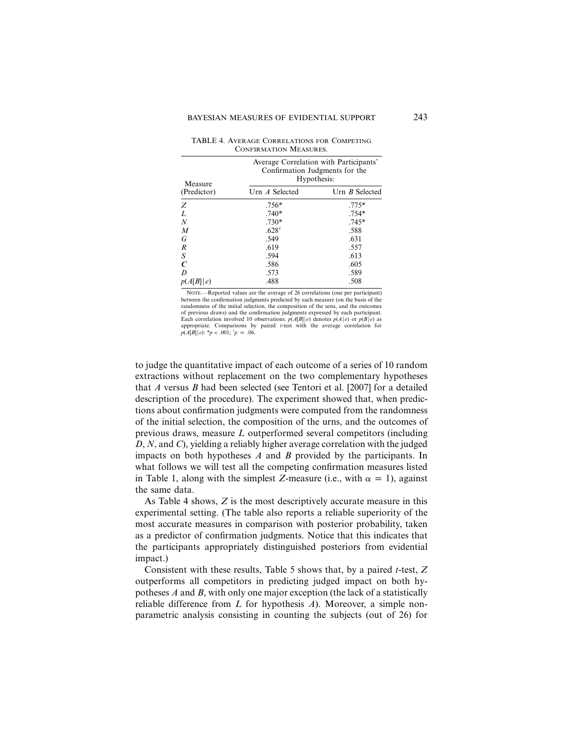TABLE 4. AVERAGE CORRELATIONS FOR COMPETING CONFIRMATION MEASURES.

| Measure     | Confirmation Judgments for the | Average Correlation with Participants'<br>Hypothesis: |
|-------------|--------------------------------|-------------------------------------------------------|
| (Predictor) | Urn A Selected                 | Urn <i>B</i> Selected                                 |
| Z           | $.756*$                        | $.775*$                                               |
| L           | $.740*$                        | $.754*$                                               |
| N           | $.730*$                        | $.745*$                                               |
| M           | $.628^{\dagger}$               | .588                                                  |
| G           | .549                           | .631                                                  |
| R           | .619                           | .557                                                  |
| S           | .594                           | .613                                                  |
|             | .586                           | .605                                                  |
| D           | .573                           | .589                                                  |
| p(A[B] e)   | .488                           | .508                                                  |

NOTE.—Reported values are the average of 26 correlations (one per participant) between the confirmation judgments predicted by each measure (on the basis of the randomness of the initial selection, the composition of the urns, and the outcomes of previous draws) and the confirmation judgments expressed by each participant. Each correlation involved 10 observations.  $p(A[B] | e)$  denotes  $p(A | e)$  or  $p(B | e)$  as appropriate. Comparisons by paired *t*-test with the average correlation for  $p(A[B]|e): *p < .001; *p = .06$ .

to judge the quantitative impact of each outcome of a series of 10 random extractions without replacement on the two complementary hypotheses that *A* versus *B* had been selected (see Tentori et al. [2007] for a detailed description of the procedure). The experiment showed that, when predictions about confirmation judgments were computed from the randomness of the initial selection, the composition of the urns, and the outcomes of previous draws, measure *L* outperformed several competitors (including *D*, *N*, and *C*), yielding a reliably higher average correlation with the judged impacts on both hypotheses *A* and *B* provided by the participants. In what follows we will test all the competing confirmation measures listed in Table 1, along with the simplest *Z*-measure (i.e., with  $\alpha = 1$ ), against the same data.

As Table 4 shows, *Z* is the most descriptively accurate measure in this experimental setting. (The table also reports a reliable superiority of the most accurate measures in comparison with posterior probability, taken as a predictor of confirmation judgments. Notice that this indicates that the participants appropriately distinguished posteriors from evidential impact.)

Consistent with these results, Table 5 shows that, by a paired *t*-test, *Z* outperforms all competitors in predicting judged impact on both hypotheses *A* and *B*, with only one major exception (the lack of a statistically reliable difference from *L* for hypothesis *A*). Moreover, a simple nonparametric analysis consisting in counting the subjects (out of 26) for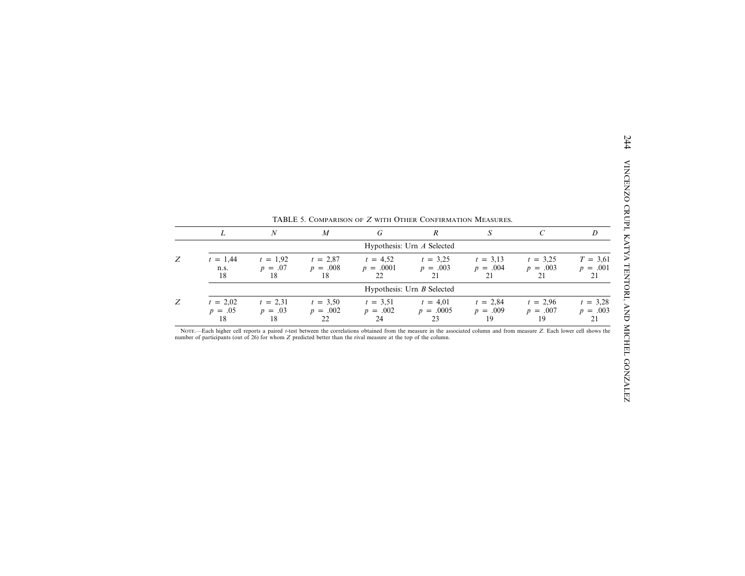|   | L                             | $\boldsymbol{N}$              | $\boldsymbol{M}$               | G                               | $\boldsymbol{R}$                | S                              | $\mathcal{C}$                  | D                              |
|---|-------------------------------|-------------------------------|--------------------------------|---------------------------------|---------------------------------|--------------------------------|--------------------------------|--------------------------------|
|   |                               |                               |                                |                                 | Hypothesis: Urn A Selected      |                                |                                |                                |
| Z | $t = 1,44$<br>n.s.<br>18      | $t = 1,92$<br>$p = .07$<br>18 | $t = 2,87$<br>$p = .008$<br>18 | $t = 4.52$<br>$p = .0001$<br>22 | $t = 3.25$<br>$p = .003$<br>21  | $t = 3.13$<br>$p = .004$<br>21 | $t = 3,25$<br>$p = .003$<br>21 | $T = 3,61$<br>$p = .001$<br>21 |
|   |                               |                               |                                |                                 | Hypothesis: Urn B Selected      |                                |                                |                                |
|   | $t = 2.02$<br>$p = .05$<br>18 | $t = 2,31$<br>$p = .03$<br>18 | $t = 3,50$<br>$p = .002$<br>22 | $t = 3.51$<br>$p = .002$<br>24  | $t = 4.01$<br>$p = .0005$<br>23 | $t = 2,84$<br>$p = .009$<br>19 | $t = 2.96$<br>$p = .007$<br>19 | $t = 3,28$<br>$p = .003$<br>21 |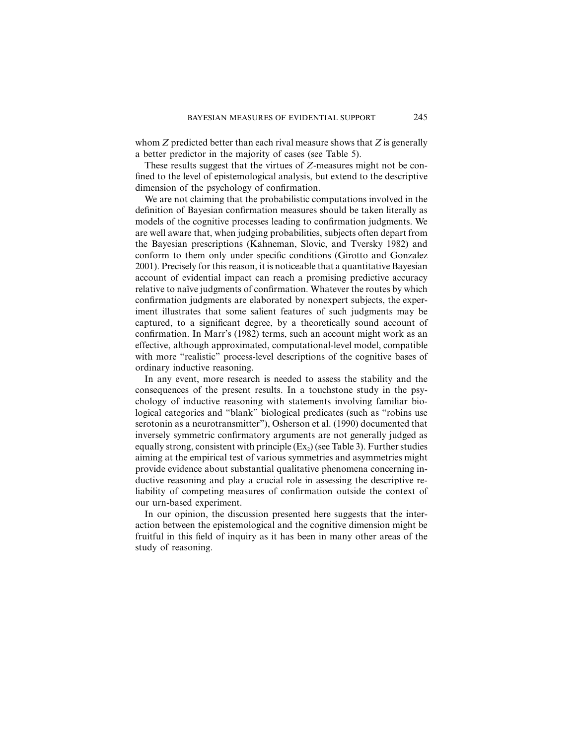whom *Z* predicted better than each rival measure shows that *Z* is generally a better predictor in the majority of cases (see Table 5).

These results suggest that the virtues of *Z*-measures might not be confined to the level of epistemological analysis, but extend to the descriptive dimension of the psychology of confirmation.

We are not claiming that the probabilistic computations involved in the definition of Bayesian confirmation measures should be taken literally as models of the cognitive processes leading to confirmation judgments. We are well aware that, when judging probabilities, subjects often depart from the Bayesian prescriptions (Kahneman, Slovic, and Tversky 1982) and conform to them only under specific conditions (Girotto and Gonzalez 2001). Precisely for this reason, it is noticeable that a quantitative Bayesian account of evidential impact can reach a promising predictive accuracy relative to naïve judgments of confirmation. Whatever the routes by which confirmation judgments are elaborated by nonexpert subjects, the experiment illustrates that some salient features of such judgments may be captured, to a significant degree, by a theoretically sound account of confirmation. In Marr's (1982) terms, such an account might work as an effective, although approximated, computational-level model, compatible with more "realistic" process-level descriptions of the cognitive bases of ordinary inductive reasoning.

In any event, more research is needed to assess the stability and the consequences of the present results. In a touchstone study in the psychology of inductive reasoning with statements involving familiar biological categories and "blank" biological predicates (such as "robins use serotonin as a neurotransmitter"), Osherson et al. (1990) documented that inversely symmetric confirmatory arguments are not generally judged as equally strong, consistent with principle  $(Ex_2)$  (see Table 3). Further studies aiming at the empirical test of various symmetries and asymmetries might provide evidence about substantial qualitative phenomena concerning inductive reasoning and play a crucial role in assessing the descriptive reliability of competing measures of confirmation outside the context of our urn-based experiment.

In our opinion, the discussion presented here suggests that the interaction between the epistemological and the cognitive dimension might be fruitful in this field of inquiry as it has been in many other areas of the study of reasoning.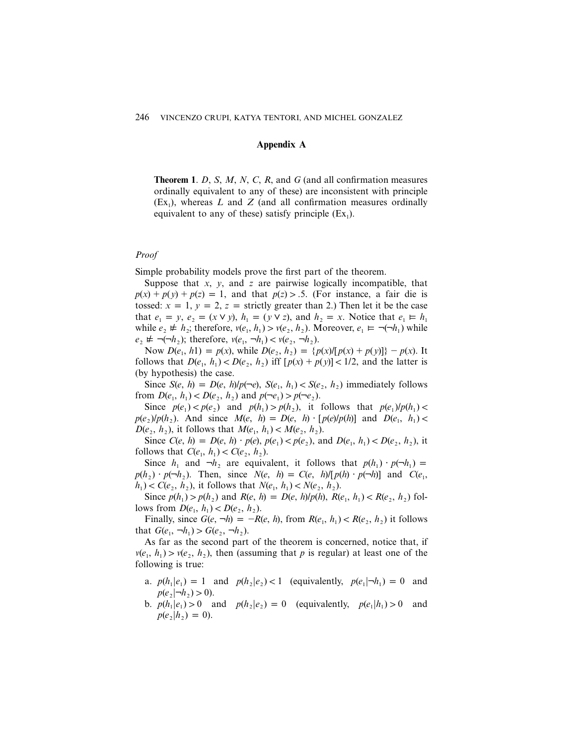## **Appendix A**

**Theorem 1**. *D*, *S*, *M*, *N*, *C*, *R*, and *G* (and all confirmation measures ordinally equivalent to any of these) are inconsistent with principle  $(Ex<sub>1</sub>)$ , whereas *L* and *Z* (and all confirmation measures ordinally equivalent to any of these) satisfy principle  $(Ex_1)$ .

## *Proof*

Simple probability models prove the first part of the theorem.

Suppose that *x*, *y*, and *z* are pairwise logically incompatible, that  $p(x) + p(y) + p(z) = 1$ , and that  $p(z) > 0.5$ . (For instance, a fair die is tossed:  $x = 1$ ,  $y = 2$ ,  $z =$  strictly greater than 2.) Then let it be the case that  $e_1 = y$ ,  $e_2 = (x \vee y)$ ,  $h_1 = (y \vee z)$ , and  $h_2 = x$ . Notice that  $e_1 = h_1$ while  $e_2 \neq h_2$ ; therefore,  $v(e_1, h_1) > v(e_2, h_2)$ . Moreover,  $e_1 \models \neg(\neg h_1)$  while  $e_2 \neq \neg(\neg h_2)$ ; therefore,  $v(e_1, \neg h_1) < v(e_2, \neg h_2)$ .

Now  $D(e_1, h1) = p(x)$ , while  $D(e_2, h_2) = {p(x) / [p(x) + p(y)]} - p(x)$ . It follows that  $D(e_1, h_1) < D(e_2, h_2)$  iff  $[p(x) + p(y)] < 1/2$ , and the latter is (by hypothesis) the case.

Since  $S(e, h) = D(e, h)/p(\neg e), S(e_1, h_1) < S(e_2, h_2)$  immediately follows from  $D(e_1, h_1) < D(e_2, h_2)$  and  $p(\neg e_1) > p(\neg e_2)$ .

Since  $p(e_1) < p(e_2)$  and  $p(h_1) > p(h_2)$ , it follows that  $p(e_1)/p(h_1) <$ *p*(*e*<sub>2</sub>)/*p*(*h*<sub>2</sub>). And since  $M(e, h) = D(e, h) \cdot [p(e)/p(h)]$  and  $D(e_1, h_1)$  < *D*(*e*<sub>2</sub>, *h*<sub>2</sub>), it follows that  $M(e_1, h_1) < M(e_2, h_2)$ .

Since  $C(e, h) = D(e, h) \cdot p(e), p(e_1) < p(e_2), \text{ and } D(e_1, h_1) < D(e_2, h_2), \text{ it}$ follows that  $C(e_1, h_1) < C(e_2, h_2)$ .

Since  $h_1$  and  $\neg h_2$  are equivalent, it follows that  $p(h_1) \cdot p(\neg h_1) =$  $p(h_2) \cdot p(\neg h_2)$ . Then, since  $N(e, h) = C(e, h) / [p(h) \cdot p(\neg h)]$  and  $C(e_1, h)$  $h_1$   $\leq C(e_2, h_2)$ , it follows that  $N(e_1, h_1) \leq N(e_2, h_2)$ .

Since  $p(h_1) > p(h_2)$  and  $R(e, h) = D(e, h)/p(h), R(e_1, h_1) < R(e_2, h_2)$  follows from  $D(e_1, h_1) < D(e_2, h_2)$ .

Finally, since  $G(e, \neg h) = -R(e, h)$ , from  $R(e_1, h_1) < R(e_2, h_2)$  it follows that  $G(e_1, \neg h_1) > G(e_2, \neg h_2)$ .

As far as the second part of the theorem is concerned, notice that, if  $v(e_1, h_1) > v(e_2, h_2)$ , then (assuming that *p* is regular) at least one of the following is true:

- a.  $p(h_1|e_1) = 1$  and  $p(h_2|e_2) < 1$  (equivalently,  $p(e_1|\neg h_1) = 0$  and  $p(e_2|\neg h_2) > 0$ .
- b.  $p(h_1|e_1) > 0$  and  $p(h_2|e_2) = 0$  (equivalently,  $p(e_1|h_1) > 0$  and  $p(e_2|h_2) = 0$ .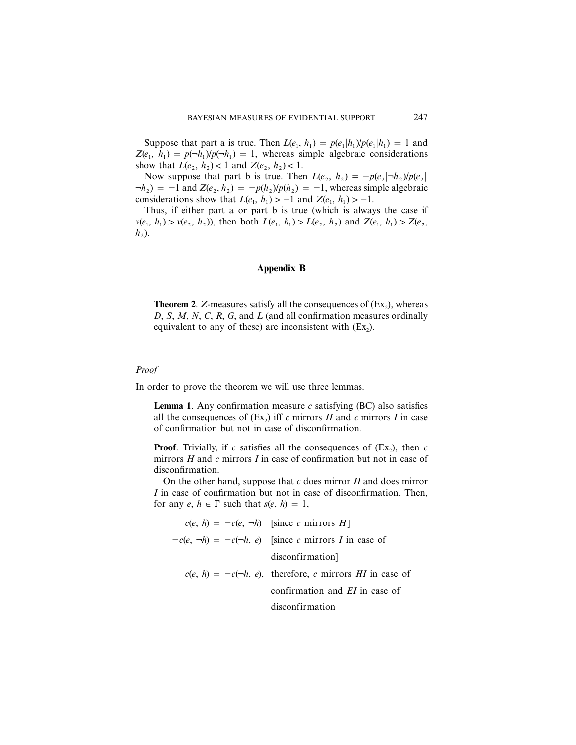Suppose that part a is true. Then  $L(e_1, h_1) = p(e_1|h_1)/p(e_1|h_1) = 1$  and  $Z(e_1, h_1) = p(\neg h_1)/p(\neg h_1) = 1$ , whereas simple algebraic considerations show that  $L(e_2, h_2) < 1$  and  $Z(e_2, h_2) < 1$ .

Now suppose that part b is true. Then  $L(e_2, h_2) = -p(e_2|\neg h_2)/p(e_2|)$  $\neg h_2$ ) = -1 and Z(*e*<sub>2</sub>, *h*<sub>2</sub>) =  $-p(h_2)/p(h_2) = -1$ , whereas simple algebraic considerations show that  $L(e_1, h_1) > -1$  and  $Z(e_1, h_1) > -1$ .

Thus, if either part a or part b is true (which is always the case if  $v(e_1, h_1) > v(e_2, h_2)$ , then both  $L(e_1, h_1) > L(e_2, h_2)$  and  $Z(e_1, h_1) > Z(e_2, h_2)$  $h<sub>2</sub>$ ).

## **Appendix B**

**Theorem 2.** *Z*-measures satisfy all the consequences of  $(Ex_2)$ , whereas *D*, *S*, *M*, *N*, *C*, *R*, *G*, and *L* (and all confirmation measures ordinally equivalent to any of these) are inconsistent with  $(Ex_2)$ .

#### *Proof*

In order to prove the theorem we will use three lemmas.

**Lemma 1.** Any confirmation measure  $c$  satisfying  $(BC)$  also satisfies all the consequences of  $(Ex_2)$  iff c mirrors *H* and c mirrors *I* in case of confirmation but not in case of disconfirmation.

**Proof.** Trivially, if *c* satisfies all the consequences of  $(Ex_2)$ , then *c* mirrors *H* and *c* mirrors *I* in case of confirmation but not in case of disconfirmation.

On the other hand, suppose that *c* does mirror *H* and does mirror *I* in case of confirmation but not in case of disconfirmation. Then, for any  $e, h \in \Gamma$  such that  $s(e, h) = 1$ ,

 $c(e, h) = -c(e, \neg h)$  [since *c* mirrors *H*]  $-c(e, \neg h) = -c(\neg h, e)$  [since *c* mirrors *I* in case of disconfirmation]  $c(e, h) = -c(\neg h, e)$ , therefore, *c* mirrors *HI* in case of confirmation and *EI* in case of disconfirmation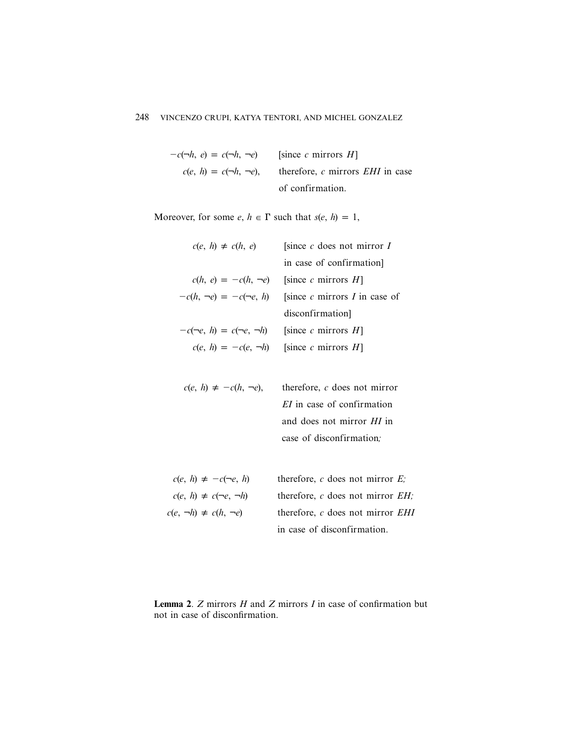| $-c(\neg h, e) = c(\neg h, \neg e)$ | [since c mirrors $H$ ]                                                  |
|-------------------------------------|-------------------------------------------------------------------------|
|                                     | $c(e, h) = c(\neg h, \neg e)$ , therefore, c mirrors <i>EHI</i> in case |
|                                     | of confirmation.                                                        |

Moreover, for some  $e, h \in \Gamma$  such that  $s(e, h) = 1$ ,

| $c(e, h) \neq c(h, e)$                                  | [since $c$ does not mirror $I$                                |
|---------------------------------------------------------|---------------------------------------------------------------|
|                                                         | in case of confirmation.                                      |
|                                                         | $c(h, e) = -c(h, \neg e)$ [since c mirrors H]                 |
|                                                         | $-c(h, \neg e) = -c(\neg e, h)$ [since c mirrors I in case of |
|                                                         | disconfirmation                                               |
| $-c(\neg e, h) = c(\neg e, \neg h)$ [since c mirrors H] |                                                               |
|                                                         | $c(e, h) = -c(e, \neg h)$ [since c mirrors H]                 |
|                                                         |                                                               |

| $c(e, h) \neq -c(h, \neg e)$ , therefore, c does not mirror |
|-------------------------------------------------------------|
| <i>EI</i> in case of confirmation                           |
| and does not mirror <i>HI</i> in                            |
| case of disconfirmation.                                    |

| $c(e, h) \neq -c(\neg e, h)$     | therefore, c does not mirror $E$ ;   |
|----------------------------------|--------------------------------------|
| $c(e, h) \neq c(\neg e, \neg h)$ | therefore, c does not mirror $EH$ .  |
| $c(e, \neg h) \neq c(h, \neg e)$ | therefore, $c$ does not mirror $EHI$ |
|                                  | in case of disconfirmation.          |

**Lemma 2**. *Z* mirrors *H* and *Z* mirrors *I* in case of confirmation but not in case of disconfirmation.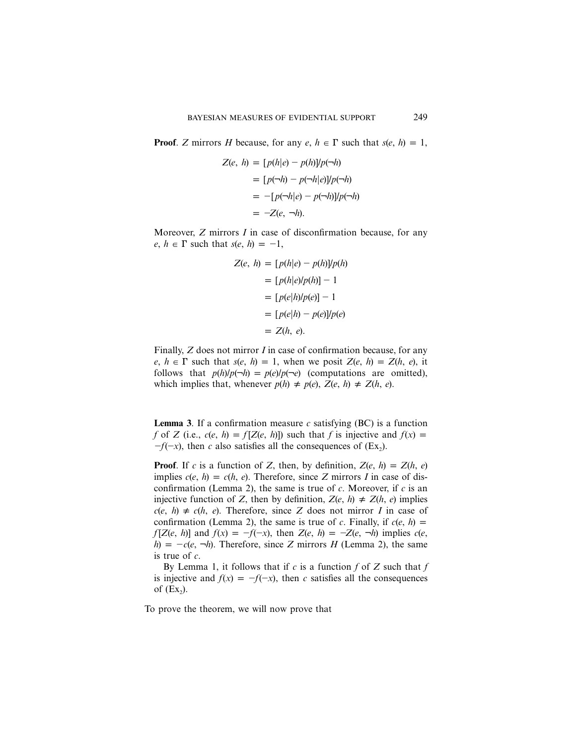**Proof.** *Z* mirrors *H* because, for any  $e, h \in \Gamma$  such that  $s(e, h) = 1$ ,

$$
Z(e, h) = [p(h|e) - p(h)]/p(\neg h)
$$
  
= 
$$
[p(\neg h) - p(\neg h|e)]/p(\neg h)
$$
  
= 
$$
-[p(\neg h|e) - p(\neg h)]/p(\neg h)
$$
  
= 
$$
-Z(e, \neg h).
$$

Moreover, *Z* mirrors *I* in case of disconfirmation because, for any  $e, h \in \Gamma$  such that  $s(e, h) = -1$ ,

$$
Z(e, h) = [p(h|e) - p(h)]/p(h)
$$
  
= [p(h|e)/p(h)] - 1  
= [p(e|h)/p(e)] - 1  
= [p(e|h) - p(e)]/p(e)  
= Z(h, e).

Finally, *Z* does not mirror *I* in case of confirmation because, for any  $e, h \in \Gamma$  such that  $s(e, h) = 1$ , when we posit  $Z(e, h) = Z(h, e)$ , it follows that  $p(h)/p(\neg h) = p(e)/p(\neg e)$  (computations are omitted), which implies that, whenever  $p(h) \neq p(e), Z(e, h) \neq Z(h, e)$ .

**Lemma 3**. If a confirmation measure  $c$  satisfying (BC) is a function *f* of *Z* (i.e.,  $c(e, h) = f[Z(e, h)]$ ) such that *f* is injective and  $f(x) = f(z)$  $-f(-x)$ , then *c* also satisfies all the consequences of (Ex<sub>2</sub>).

**Proof**. If *c* is a function of *Z*, then, by definition,  $Z(e, h) = Z(h, e)$ implies  $c(e, h) = c(h, e)$ . Therefore, since *Z* mirrors *I* in case of disconfirmation (Lemma 2), the same is true of *c*. Moreover, if *c* is an injective function of *Z*, then by definition,  $Z(e, h) \neq Z(h, e)$  implies  $c(e, h) \neq c(h, e)$ . Therefore, since *Z* does not mirror *I* in case of confirmation (Lemma 2), the same is true of *c*. Finally, if  $c(e, h)$  $f[Z(e, h)]$  and  $f(x) = -f(-x)$ , then  $Z(e, h) = -Z(e, \neg h)$  implies  $c(e, h)$  $h$ ) =  $-c(e, \neg h)$ . Therefore, since *Z* mirrors *H* (Lemma 2), the same is true of *c*.

By Lemma 1, it follows that if *c* is a function *f* of *Z* such that *f* is injective and  $f(x) = -f(-x)$ , then *c* satisfies all the consequences of  $(EX<sub>2</sub>)$ .

To prove the theorem, we will now prove that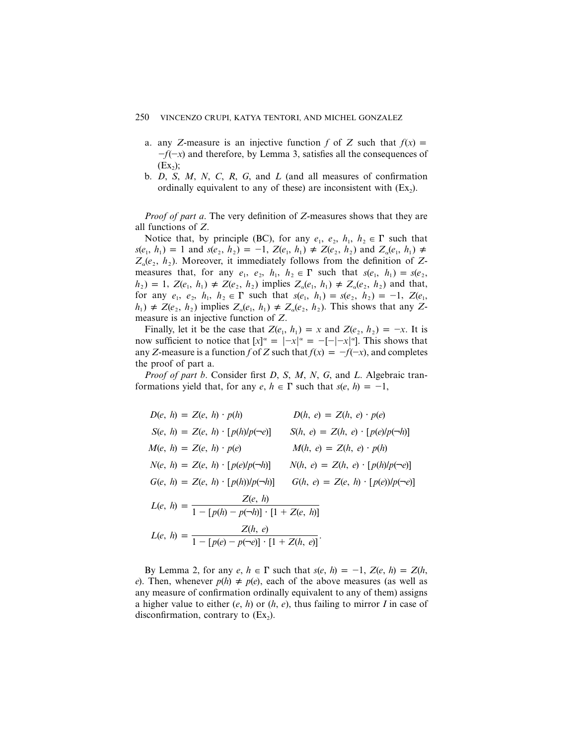- a. any *Z*-measure is an injective function *f* of *Z* such that  $f(x) =$  $-f(-x)$  and therefore, by Lemma 3, satisfies all the consequences of  $(EX<sub>2</sub>)$ ;
- b. *D*, *S*, *M*, *N*, *C*, *R*, *G*, and *L* (and all measures of confirmation ordinally equivalent to any of these) are inconsistent with  $(Ex_2)$ .

*Proof of part a*. The very definition of *Z*-measures shows that they are all functions of *Z*.

Notice that, by principle (BC), for any  $e_1$ ,  $e_2$ ,  $h_1$ ,  $h_2 \in \Gamma$  such that  $s(e_1, h_1) = 1$  and  $s(e_2, h_2) = -1$ ,  $Z(e_1, h_1) \neq Z(e_2, h_2)$  and  $Z_\alpha(e_1, h_1) \neq Z_\alpha(e_2, h_2)$  $Z_{\alpha}(e_2, h_2)$ . Moreover, it immediately follows from the definition of *Z*measures that, for any  $e_1$ ,  $e_2$ ,  $h_1$ ,  $h_2 \in \Gamma$  such that  $s(e_1, h_1) = s(e_2,$  $h_1 = 1$ ,  $Z(e_1, h_1) \neq Z(e_2, h_2)$  implies  $Z_\alpha(e_1, h_1) \neq Z_\alpha(e_2, h_2)$  and that, for any  $e_1, e_2, h_1, h_2 \in \Gamma$  such that  $s(e_1, h_1) = s(e_2, h_2) = -1$ ,  $Z(e_1, h_2) = -1$  $h_1$   $\neq$  *Z*(*e*<sub>2</sub>, *h*<sub>2</sub>) implies  $Z_\alpha(e_1, h_1) \neq Z_\alpha(e_2, h_2)$ . This shows that any *Z*measure is an injective function of *Z*.

Finally, let it be the case that  $Z(e_1, h_1) = x$  and  $Z(e_2, h_2) = -x$ . It is now sufficient to notice that  $[x]^\alpha = |-x|^\alpha = -[-|x|^\alpha]$ . This shows that any *Z*-measure is a function *f* of *Z* such that  $f(x) = -f(-x)$ , and completes the proof of part a.

*Proof of part b*. Consider first *D*, *S*, *M*, *N*, *G*, and *L*. Algebraic tranformations yield that, for any  $e, h \in \Gamma$  such that  $s(e, h) = -1$ ,

| $D(e, h) = Z(e, h) \cdot p(h)$                                          | $D(h, e) = Z(h, e) \cdot p(e)$             |
|-------------------------------------------------------------------------|--------------------------------------------|
| $S(e, h) = Z(e, h) \cdot [p(h)/p(-e)]$                                  | $S(h, e) = Z(h, e) \cdot [p(e)/p(\neg h)]$ |
| $M(e, h) = Z(e, h) \cdot p(e)$                                          | $M(h, e) = Z(h, e) \cdot p(h)$             |
| $N(e, h) = Z(e, h) \cdot [p(e)/p(h)]$                                   | $N(h, e) = Z(h, e) \cdot [p(h)/p(-e)]$     |
| $G(e, h) = Z(e, h) \cdot [p(h)/p(\neg h)]$                              | $G(h, e) = Z(e, h) \cdot [p(e)/p(-e)]$     |
| $L(e, h) = \frac{Z(e, h)}{1 - [p(h) - p(\neg h)] \cdot [1 + Z(e, h)]}$  |                                            |
| $L(e, h) = \frac{Z(h, e)}{1 - [p(e) - p(\neg e)] \cdot [1 + Z(h, e)]}.$ |                                            |

By Lemma 2, for any  $e, h \in \Gamma$  such that  $s(e, h) = -1$ ,  $Z(e, h) = Z(h, h)$ *e*). Then, whenever  $p(h) \neq p(e)$ , each of the above measures (as well as any measure of confirmation ordinally equivalent to any of them) assigns a higher value to either (*e*, *h*) or (*h*, *e*), thus failing to mirror *I* in case of disconfirmation, contrary to  $(Ex<sub>2</sub>)$ .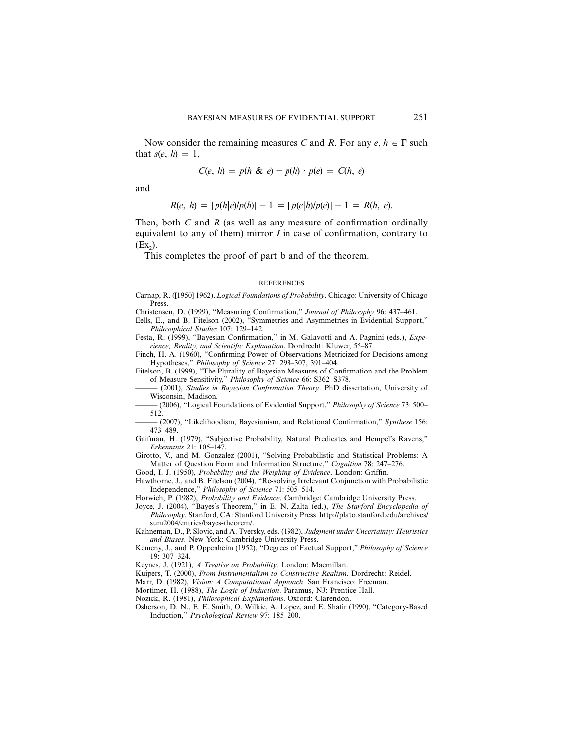Now consider the remaining measures *C* and *R*. For any  $e, h \in \Gamma$  such that  $s(e, h) = 1$ ,

$$
C(e, h) = p(h \& e) - p(h) \cdot p(e) = C(h, e)
$$

and

$$
R(e, h) = [p(h|e)/p(h)] - 1 = [p(e|h)/p(e)] - 1 = R(h, e).
$$

Then, both *C* and *R* (as well as any measure of confirmation ordinally equivalent to any of them) mirror *I* in case of confirmation, contrary to  $(EX<sub>2</sub>)$ .

This completes the proof of part b and of the theorem.

#### **REFERENCES**

Carnap, R. ([1950] 1962), *Logical Foundations of Probability*. Chicago: University of Chicago Press.

Christensen, D. (1999), "Measuring Confirmation," *Journal of Philosophy* 96: 437–461.

Eells, E., and B. Fitelson (2002), "Symmetries and Asymmetries in Evidential Support," *Philosophical Studies* 107: 129–142.

Festa, R. (1999), "Bayesian Confirmation," in M. Galavotti and A. Pagnini (eds.), *Experience, Reality, and Scientific Explanation*. Dordrecht: Kluwer, 55–87.

Finch, H. A. (1960), "Confirming Power of Observations Metricized for Decisions among Hypotheses," *Philosophy of Science* 27: 293–307, 391–404.

Fitelson, B. (1999), "The Plurality of Bayesian Measures of Confirmation and the Problem of Measure Sensitivity," *Philosophy of Science* 66: S362–S378.

(2001), *Studies in Bayesian Confirmation Theory*. PhD dissertation, University of Wisconsin, Madison.

——— (2006), "Logical Foundations of Evidential Support," *Philosophy of Science* 73: 500– 512.

——— (2007), "Likelihoodism, Bayesianism, and Relational Confirmation," *Synthese* 156: 473–489.

Gaifman, H. (1979), "Subjective Probability, Natural Predicates and Hempel's Ravens," *Erkenntnis* 21: 105–147.

Girotto, V., and M. Gonzalez (2001), "Solving Probabilistic and Statistical Problems: A Matter of Question Form and Information Structure," *Cognition* 78: 247–276.

Good, I. J. (1950), *Probability and the Weighing of Evidence*. London: Griffin. Hawthorne, J., and B. Fitelson (2004), "Re-solving Irrelevant Conjunction with Probabilistic

Independence," *Philosophy of Science* 71: 505–514.

Horwich, P. (1982), *Probability and Evidence*. Cambridge: Cambridge University Press.

Joyce, J. (2004), "Bayes's Theorem," in E. N. Zalta (ed.), *The Stanford Encyclopedia of Philosophy*. Stanford, CA: Stanford University Press. http://plato.stanford.edu/archives/ sum2004/entries/bayes-theorem/.

Kahneman, D., P. Slovic, and A. Tversky, eds. (1982), *Judgment under Uncertainty: Heuristics and Biases*. New York: Cambridge University Press.

Keynes, J. (1921), *A Treatise on Probability*. London: Macmillan.

Kuipers, T. (2000), *From Instrumentalism to Constructive Realism*. Dordrecht: Reidel.

Marr, D. (1982), *Vision: A Computational Approach*. San Francisco: Freeman.

Mortimer, H. (1988), *The Logic of Induction*. Paramus, NJ: Prentice Hall.

Nozick, R. (1981), *Philosophical Explanations*. Oxford: Clarendon.

Osherson, D. N., E. E. Smith, O. Wilkie, A. Lopez, and E. Shafir (1990), "Category-Based Induction," *Psychological Review* 97: 185–200.

Kemeny, J., and P. Oppenheim (1952), "Degrees of Factual Support," *Philosophy of Science* 19: 307–324.